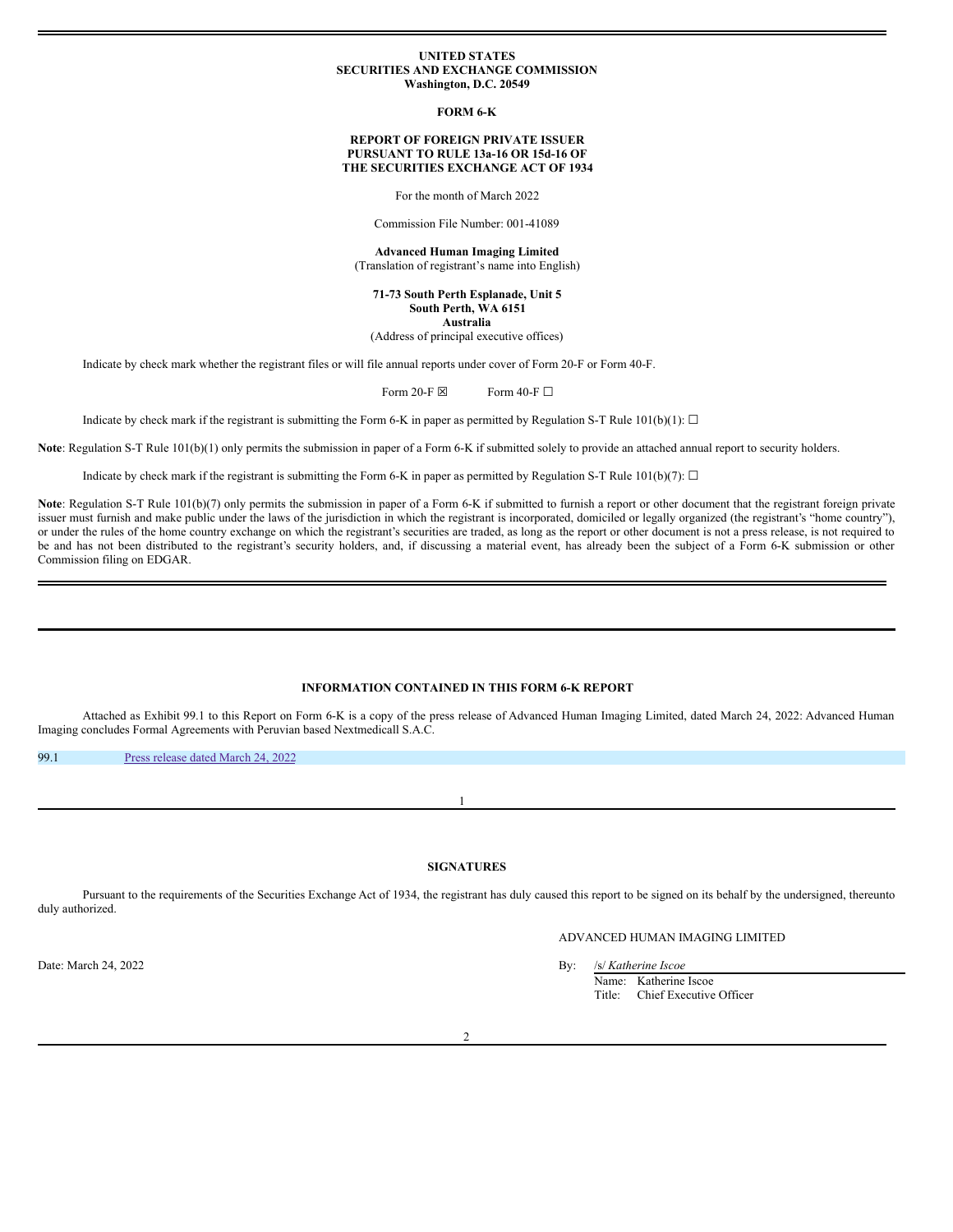#### **UNITED STATES SECURITIES AND EXCHANGE COMMISSION Washington, D.C. 20549**

**FORM 6-K**

### **REPORT OF FOREIGN PRIVATE ISSUER PURSUANT TO RULE 13a-16 OR 15d-16 OF THE SECURITIES EXCHANGE ACT OF 1934**

For the month of March 2022

Commission File Number: 001-41089

**Advanced Human Imaging Limited** (Translation of registrant's name into English)

**71-73 South Perth Esplanade, Unit 5 South Perth, WA 6151 Australia**

(Address of principal executive offices)

Indicate by check mark whether the registrant files or will file annual reports under cover of Form 20-F or Form 40-F.

Form 20-F  $\boxtimes$  Form 40-F  $\Box$ 

Indicate by check mark if the registrant is submitting the Form 6-K in paper as permitted by Regulation S-T Rule 101(b)(1):  $\Box$ 

**Note**: Regulation S-T Rule 101(b)(1) only permits the submission in paper of a Form 6-K if submitted solely to provide an attached annual report to security holders.

Indicate by check mark if the registrant is submitting the Form 6-K in paper as permitted by Regulation S-T Rule 101(b)(7):  $\Box$ 

Note: Regulation S-T Rule 101(b)(7) only permits the submission in paper of a Form 6-K if submitted to furnish a report or other document that the registrant foreign private issuer must furnish and make public under the laws of the jurisdiction in which the registrant is incorporated, domiciled or legally organized (the registrant's "home country"), or under the rules of the home country exchange on which the registrant's securities are traded, as long as the report or other document is not a press release, is not required to be and has not been distributed to the registrant's security holders, and, if discussing a material event, has already been the subject of a Form 6-K submission or other Commission filing on EDGAR.

## **INFORMATION CONTAINED IN THIS FORM 6-K REPORT**

Attached as Exhibit 99.1 to this Report on Form 6-K is a copy of the press release of Advanced Human Imaging Limited, dated March 24, 2022: Advanced Human Imaging concludes Formal Agreements with Peruvian based Nextmedicall S.A.C.

99.1 Press [release](#page-1-0) dated March 24, 2022

**SIGNATURES**

1

Pursuant to the requirements of the Securities Exchange Act of 1934, the registrant has duly caused this report to be signed on its behalf by the undersigned, thereunto duly authorized.

# ADVANCED HUMAN IMAGING LIMITED

Date: March 24, 2022 By: /s/ *Katherine Iscoe* Name: Katherine Iscoe Title: Chief Executive Officer